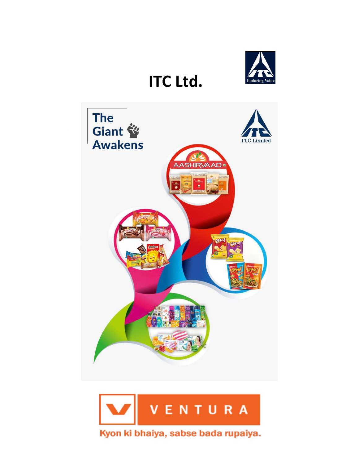

# **ITC Ltd.**



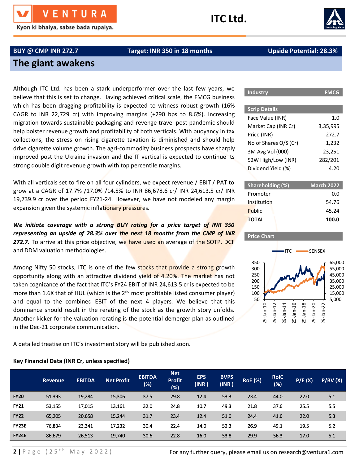Kyon ki bhaiya, sabse bada rupaiya.

## **ITC Ltd.**



## **BUY @ CMP INR 272.7 Target: INR 350 in 18 months Upside Potential: 28.3%**

## **The giant awakens**

Although ITC Ltd. has been a stark underperformer over the last few years, we believe that this is set to change. Having achieved critical scale, the FMCG business which has been dragging profitability is expected to witness robust growth (16% CAGR to INR 22,729 cr) with improving margins (+290 bps to 8.6%). Increasing migration towards sustainable packaging and revenge travel post pandemic should help bolster revenue growth and profitability of both verticals. With buoyancy in tax collections, the stress on rising cigarette taxation is diminished and should help drive cigarette volume growth. The agri-commodity business prospects have sharply improved post the Ukraine invasion and the IT vertical is expected to continue its strong double digit revenue growth with top percentile margins.

With all verticals set to fire on all four cylinders, we expect revenue / EBIT / PAT to grow at a CAGR of 17.7% /17.0% /14.5% to INR 86,678.6 cr/ INR 24,613.5 cr/ INR 19,739.9 cr over the period FY21-24. However, we have not modeled any margin expansion given the systemic inflationary pressures.

*We initiate coverage with a strong BUY rating for a price target of INR 350 representing an upside of 28.3% over the next 18 months from the CMP of INR*  272.7. To arrive at this price objective, we have used an average of the SOTP, DCF and DDM valuation methodologies.

Among Nifty 50 stocks, ITC is one of the few stocks that provide a strong growth opportunity along with an attractive dividend yield of 4.20%. The market has not taken cognizance of the fact that ITC's FY24 EBIT of INR 24,613.5 cr is expected to be more than 1.6X that of HUL (which is the  $2^{nd}$  most profitable listed consumer player) and equal to the combined EBIT of the next 4 players. We believe that this dominance should result in the rerating of the stock as the growth story unfolds. Another kicker for the valuation rerating is the potential demerger plan as outlined in the Dec-21 corporate communication.

A detailed treatise on ITC's investment story will be published soon.

## **Key Financial Data (INR Cr, unless specified)**

| <b>Scrip Details</b>  |          |
|-----------------------|----------|
| Face Value (INR)      | 1.0      |
| Market Cap (INR Cr)   | 3,35,995 |
| Price (INR)           | 272.7    |
| No of Shares O/S (Cr) | 1,232    |
| 3M Avg Vol (000)      | 23,251   |
| 52W High/Low (INR)    | 282/201  |
| Dividend Yield (%)    | 4 20     |
|                       |          |

**Industry FMCG**

| Shareholding (%) | <b>March 2022</b> |
|------------------|-------------------|
| Promoter         | 0.O               |
| Institution      | 54.76             |
| Public           | 45.24             |
| <b>TOTAL</b>     | 100.0             |

## **Price Chart**



|              | <b>Revenue</b> | <b>EBITDA</b> | <b>Net Profit</b> | <b>EBITDA</b><br>$(\%)$ | <b>Net</b><br><b>Profit</b><br>(%) | <b>EPS</b><br>(INR) | <b>BVPS</b><br>(INR) | <b>RoE</b> (%) | <b>RoIC</b><br>(%) | P/E(X) | P/BV(X) |
|--------------|----------------|---------------|-------------------|-------------------------|------------------------------------|---------------------|----------------------|----------------|--------------------|--------|---------|
| <b>FY20</b>  | 51,393         | 19,284        | 15,306            | 37.5                    | 29.8                               | 12.4                | 53.3                 | 23.4           | 44.0               | 22.0   | 5.1     |
| <b>FY21</b>  | 53,155         | 17,015        | 13,161            | 32.0                    | 24.8                               | 10.7                | 49.3                 | 21.8           | 37.6               | 25.5   | 5.5     |
| <b>FY22</b>  | 65,205         | 20,658        | 15,244            | 31.7                    | 23.4                               | 12.4                | 51.0                 | 24.4           | 41.6               | 22.0   | 5.3     |
| <b>FY23E</b> | 76,834         | 23,341        | 17,232            | 30.4                    | 22.4                               | 14.0                | 52.3                 | 26.9           | 49.1               | 19.5   | 5.2     |
| <b>FY24E</b> | 86,679         | 26,513        | 19,740            | 30.6                    | 22.8                               | 16.0                | 53.8                 | 29.9           | 56.3               | 17.0   | 5.1     |

For any further query, please email us on research@ventura1.com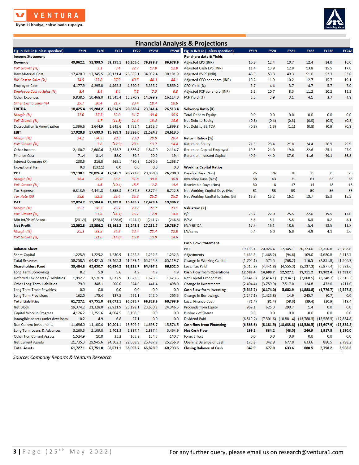

Kyon ki bhaiya, sabse bada rupaiya.



| <b>Financial Analysis &amp; Projections</b> |             |             |             |                   |              |          |                                               |             |             |                                                    |             |              |              |
|---------------------------------------------|-------------|-------------|-------------|-------------------|--------------|----------|-----------------------------------------------|-------------|-------------|----------------------------------------------------|-------------|--------------|--------------|
| Fig in INR Cr (unless specified)            | <b>FY19</b> | <b>FY20</b> | <b>FY21</b> | <b>FY22</b>       | <b>FY23E</b> |          | <b>FY24E</b> Fig in INR Cr (unless specified) | <b>FY19</b> | <b>FY20</b> | <b>FY21</b>                                        | <b>FY22</b> | <b>FY23E</b> | <b>FY24E</b> |
| <b>Income Statement</b>                     |             |             |             |                   |              |          | Per share data & Yields                       |             |             |                                                    |             |              |              |
| <b>Revenue</b>                              | 49,862.1    | 51,393.5    | 53,155.1    | 65,205.0          | 76,833.8     | 86,678.6 | <b>Adjusted EPS (INR)</b>                     | 10.2        | 12.4        | 10.7                                               | 12.4        | 14.0         | 16.0         |
| YoY Growth (%)                              |             | 3.1         | 3.4         | 22.7              | 17.8         | 12.8     | Adjusted Cash EPS (INR)                       | 11.4        | 13.8        | 12.0                                               | 13.8        | 15.5         | 17.6         |
| <b>Raw Material Cost</b>                    | 17,420.3    | 17,345.5    | 20,131.4    | 26,385.1          | 34,037.4     | 38,181.9 | Adjusted BVPS (INR)                           | 48.3        | 53.3        | 49.3                                               | 51.0        | 52.3         | 53.8         |
| RM Cost to Sales (%)                        | 34.9        | 33.8        | 37.9        | 40.5              | 44.3         | 44.1     | Adjusted CFO per share (INR)                  | 10.2        | 11.9        | 10.2                                               | 12.7        | 15.7         | 19.1         |
| <b>Employee Cost</b>                        | 4,177.9     | 4,295.8     | 4,463.3     | 4,890.6           | 5,355.2      | 5,869.2  | CFO Yield (%)                                 | 3.7         | 4.4         | 3.7                                                | 4.7         | 5.7          | 7.0          |
| Employee Cost to Sales (%)                  | 8.4         | 8.4         | 8.4         | 7.5               | 7.0          | 6.8      | Adjusted FCF per share (INR)                  | 6.3         | 10.7        | 8.3                                                | 11.2        | 10.2         | 13.2         |
| <b>Other Expenses</b>                       | 9,838.5     | 10,468.0    | 11,545.4    | 13,270.9          | 14,099.9     | 16,114.0 | FCF Yield (%)                                 | 2.3         | 3.9         | 3.1                                                | 4.1         | 3.7          | 4.8          |
| Other Exp to Sales (%)                      | 19.7        | 20.4        | 21.7        | 20.4              | 18.4         | 18.6     |                                               |             |             |                                                    |             |              |              |
| <b>EBITDA</b>                               | 18,425.4    | 19,284.2    | 17,014.9    | 20,658.4          | 23,341.4     | 26,513.4 | <b>Solvency Ratio (X)</b>                     |             |             |                                                    |             |              |              |
| Margin (%)                                  | 37.0        | 37.5        | 32.0        | 31.7              | 30.4         | 30.6     | <b>Total Debt to Equity</b>                   | 0.0         | 0.0         | 0.0                                                | 0.0         | 0.0          | 0.0          |
| YoY Growth (%)                              |             | 4.7         | (11.8)      | 21.4              | 13.0         | 13.6     | Net Debt to Equity                            | (0.3)       | (0.4)       | (0.3)                                              | (0.3)       | (0.3)        | (0.3)        |
| Depreciation & Amortization                 | 1,396.6     | 1,644.9     | 1,645.6     | 1,732.4           | 1,816.7      | 1,899.8  | <b>Net Debt to EBITDA</b>                     | (0.9)       | (1.3)       | (1.1)                                              | (0.8)       | (0.9)        | (0.8)        |
| <b>EBIT</b>                                 | 17,028.8    | 17,639.3    | 15,369.3    | 18,926.0          | 21,524.7     | 24,613.5 |                                               |             |             |                                                    |             |              |              |
| Margin (%)                                  | 34.2        | 34.3        | 28.9        | 29.0              | 28.0         | 28.4     | <b>Return Ratios (%)</b>                      |             |             |                                                    |             |              |              |
| YoY Growth (%)                              |             | 3.6         | (12.9)      | 23.1              | 13.7         | 14.4     | <b>Return on Equity</b>                       | 21.3        | 23.4        | 21.8                                               | 24.4        | 26.9         | 29.9         |
| Other Income                                | 2,180.7     | 2,600.6     | 2,633.7     | 1,836.4           | 1,847.0      | 2,114.7  | <b>Return on Capital Employed</b>             | 19.3        | 21.0        | 19.0                                               | 22.6        | 25.1         | 27.9         |
| <b>Finance Cost</b>                         | 71.4        | 81.4        | 58.0        | 39.4              | 20.9         | 19.4     | Return on Invested Capital                    | 40.9        | 44.0        | 37.6                                               | 41.6        | 49.1         | 56.3         |
| Interest Coverage (X)                       | 238.5       | 216.8       | 265.1       | 480.8             | 1,030.9      | 1,268.7  |                                               |             |             |                                                    |             |              |              |
| <b>Exceptional Item</b>                     | 0.0         | (132.1)     | 0.0         | 0.0               | 0.0          | 0.0      | <b>Working Capital Ratios</b>                 |             |             |                                                    |             |              |              |
| PBT                                         | 19,138.1    | 20,026.4    | 17,945.1    | 20,723.0          | 23,350.8     | 26,708.8 | Payable Days (Nos)                            | 26          | 26          | 30                                                 | 25          | 25           | 25           |
| Margin (%)                                  | 38.4        | 39.0        | 33.8        | 31.8              | 30.4         | 30.8     | <b>Inventory Days (Nos)</b>                   | 58          | 63          | 71                                                 | 61          | 63           | 63           |
| YoY Growth (%)                              |             | 4.6         | (10.4)      | 15.5              | 12.7         | 14.4     | Receivable Days (Nos)                         | 30          | 18          | 17                                                 | 14          | 18           | 18           |
| <b>Tax Expense</b>                          | 6,313.9     | 4,441.8     | 4,555.3     | 5,237.3           | 5,877.4      | 6,722.6  | Net Working Capital Days (Nos)                | 61          | 55          | 59                                                 | 50          | 56           | 56           |
| Tax Rate (%)                                | 33.0        | 22.2        | 25.4        | 25.3              | 25.2         | 25.2     | Net Working Capital to Sales (%)              | 16.8        | 15.2        | 16.1                                               | 13.7        | 15.3         | 15.3         |
| <b>PAT</b>                                  | 12,824.2    | 15,584.6    | 13,389.8    | 15,485.7          | 17,473.4     | 19,986.2 |                                               |             |             |                                                    |             |              |              |
| Margin (%)                                  | 25.7        | 30.3        | 25.2        | 23.7              | 22.7         | 23.1     | <b>Valuation</b> (X)                          |             |             |                                                    |             |              |              |
| YoY Growth (%)                              |             | 21.5        | (14.1)      | 15.7              | 12.8         | 14.4     | P/E                                           | 26.7        | 22.0        | 25.5                                               | 22.0        | 19.5         | 17.0         |
| Min Int/Sh of Assoc                         | (231.9)     | (278.3)     | (228.6)     | (241.7)           | (241.7)      | (246.6)  | P/BV                                          | 5.6         | 5.1         | 5.5                                                | 5.3         | 5.2          | 5.1          |
| <b>Net Profit</b>                           | 12,592.3    | 15,306.2    | 13,161.2    | 15,243.9          | 17,231.7     | 19,739.7 | <b>EV/EBITDA</b>                              | 17.3        | 16.1        | 18.6                                               | 15.4        | 13.5         | 11.8         |
| Margin (%)                                  | 25.3        | 29.8        | 24.8        | 23.4              | 22.4         | 22.8     | <b>EV/Sales</b>                               | 6.4         | 6.0         | 6.0                                                | 4.9         | 4.1          | 3.6          |
| YoY Growth (%)                              |             | 21.6        | (14.0)      | 15.8              | 13.0         | 14.6     |                                               |             |             |                                                    |             |              |              |
|                                             |             |             |             |                   |              |          | <b>Cash Flow Statement</b>                    |             |             |                                                    |             |              |              |
| <b>Balance Sheet</b>                        |             |             |             |                   |              |          | PBT                                           | 19,138.1    | 20,026.4    | 17,945.1                                           | 20,723.0    | 23,350.8     | 26,708.8     |
| <b>Share Capital</b>                        | 1,225.9     | 1,229.2     | 1,230.9     | 1,232.3           | 1,232.3      | 1,232.3  | <b>Adjustments</b>                            | 1,463.3     | (1,468.2)   | (94.6)                                             | 109.0       | 4,680.8      | 5,112.7      |
| <b>Total Reserves</b>                       | 58,258.5    | 64,421.5    | 59,463.3    | 61,589.4          | 63,234.8     | 65,119.7 | Change in Working Capital                     | (1,704.1)   | 573.3       | (768.2)                                            | 116.5       | (2,851.8)    | (1,506.9)    |
| <b>Shareholders Fund</b>                    | 59,484.3    | 65,650.7    | 60,694.2    | 62,821.7          | 64,467.1     | 66,352.0 | Less: Tax Paid                                | (6,313.9)   | (4,441.8)   | (4, 555.3)                                         | (5,237.3)   | (5,877.4)    | (6, 722.6)   |
| <b>Long Term Borrowings</b>                 | 8.2         | 5.9         | 5.6         | 4.9               | 4.9          | 4.9      | <b>Cash Flow from Operations</b>              | 12,583.4    | 14,689.7    | 12,527.1                                           | 15,711.2    | 19,302.4     | 23,592.0     |
| Deferred Tax Assets / Liabilities           | 1,992.7     | 1,570.9     | 1,677.9     | 1,673.5           | 1,673.5      | 1,673.5  | <b>Net Capital Expenditure</b>                | (3, 141.3)  | (2,414.1)   | (1,834.1)                                          | (2,008.5)   | (2, 248.7)   | (2,316.2)    |
| Other Long Term Liabilities                 | 79.9        | 348.1       | 506.0       | 374.6             | 441.4        | 498.0    | Change in Investments                         | (2,404.4)   | (3,759.9)   | 7,517.0                                            | 124.8       | 472.0        | (211.6)      |
| Long Term Trade Payables                    | 0.0         | 0.0         | 0.0         | 0.0               | 0.0          | 0.0      | <b>Cash Flow from Investing</b>               | (5,545.7)   | (6, 174.0)  | 5,682.9                                            | (1,883.8)   | (1,776.7)    | (2,527.8)    |
| <b>Long Term Provisions</b>                 | 162.0       | 175.4       | 187.5       | 221.1             | 242.0        | 265.3    | <b>Change in Borrowings</b>                   | (1,247.1)   | (1, 423.8)  | 14.9                                               | 245.7       | (0.7)        | 0.0          |
| <b>Total Liabilities</b>                    |             | 67,751.0    | 63,071.1    | 65,095.7          | 66,828.9     | 68,793.6 | Less: Finance Cost                            | (71.4)      | (81.4)      | (58.0)                                             | (39.4)      | (20.9)       | (19.4)       |
| <b>Net Block</b>                            | 19,374.2    | 21,328.0    | 22,921.9    | 23,198.1 23,630.1 |              | 24,046.5 | <b>Proceeds from Equity</b>                   | 969.1       | 625.3       | 290.7                                              | 1.4         | 0.0          | 0.0          |
| <b>Capital Work in Progress</b>             | 4,126.2     | 3,251.6     | 4,004.5     | 3,198.5           | 0.0          | 0.0      | <b>Buyback of Shares</b>                      | 0.0         | 0.0         | 0.0                                                | 0.0         | 0.0          | 0.0          |
| Intangible assets under developme           | 10.2        | 4.9         | 6.8         | 27.1              | 0.0          | 0.0      | <b>Dividend Paid</b>                          | (6, 519.2)  |             | $(7,301.6)$ $(18,881.4)$ $(13,788.3)$ $(15,586.3)$ |             |              | (17, 854.8)  |
| <b>Non Current Investments</b>              | 11,696.0    | 11,100.4    | 10,401.1    | 13,609.9          | 14,698.7     | 15,874.6 | <b>Cash flow from Financing</b>               | (6,868.6)   | (8, 181.5)  | (18, 633.8)                                        | (13,580.5)  | (15,607.9)   | (17, 874.2)  |
| Long Term Loans & Advances                  | 3,260.3     | 2,109.8     | 1,401.3     | 2,887.4           | 2,887.4      | 3,464.9  | <b>Net Cash Flow</b>                          | 169.1       | 334.2       | (43.5)                                             | 246.9       | 1,917.8      | 3,190.0      |
| <b>Other Non Current Assets</b>             | 1,524.9     | 10.8        | 33.2        | 105.8             | 124.7        | 140.7    | <b>Forex Effect</b>                           | 0.0         | 0.0         | 0.0                                                | 0.0         | 0.0          | 0.0          |
| <b>Net Current Assets</b>                   | 21,735.3    | 29,945.6    |             | 24,302.3 22,068.9 | 25,487.9     | 25,266.9 | <b>Opening Balance of Cash</b>                | 173.8       | 342.9       | 677.0                                              | 633.6       | 880.5        | 2,798.2      |
| <b>Total Assets</b>                         | 61,727.1    | 67,751.0    | 63,071.1    | 65,095.7          | 66,828.9     | 68,793.6 | <b>Closing Balance of Cash</b>                | 342.9       | 677.0       | 633.6                                              | 880.5       | 2,798.2      | 5,988.3      |

*Source: Company Reports & Ventura Research*